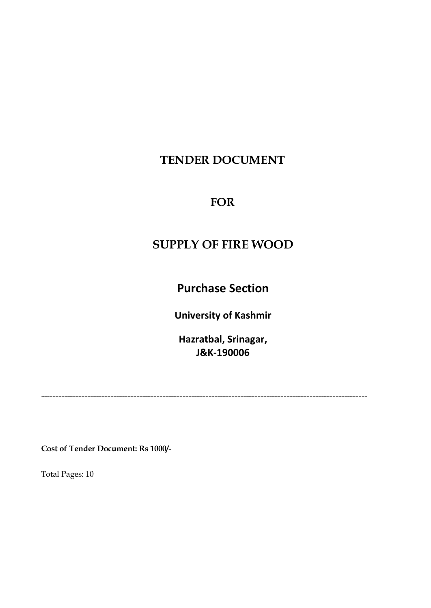# **TENDER DOCUMENT**

## **FOR**

# **SUPPLY OF FIRE WOOD**

**Purchase Section**

**University of Kashmir**

**Hazratbal, Srinagar, J&K-190006**

-----------------------------------------------------------------------------------------------------------------

**Cost of Tender Document: Rs 1000/-**

Total Pages: 10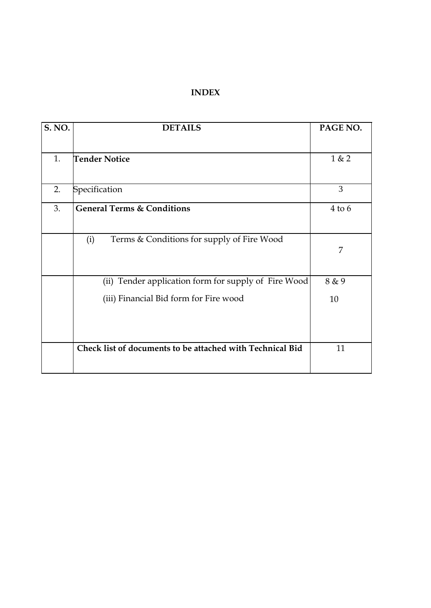### **INDEX**

| <b>S. NO.</b> | <b>DETAILS</b>                                            | PAGE NO.   |
|---------------|-----------------------------------------------------------|------------|
|               |                                                           |            |
| 1.            | <b>Tender Notice</b>                                      | 1 & 2      |
|               |                                                           |            |
| 2.            | Specification                                             | 3          |
| 3.            | <b>General Terms &amp; Conditions</b>                     | $4$ to $6$ |
|               |                                                           |            |
|               | Terms & Conditions for supply of Fire Wood<br>(i)         | 7          |
|               |                                                           |            |
|               | (ii) Tender application form for supply of Fire Wood      | 8 & 9      |
|               | (iii) Financial Bid form for Fire wood                    | 10         |
|               |                                                           |            |
|               |                                                           |            |
|               | Check list of documents to be attached with Technical Bid | 11         |
|               |                                                           |            |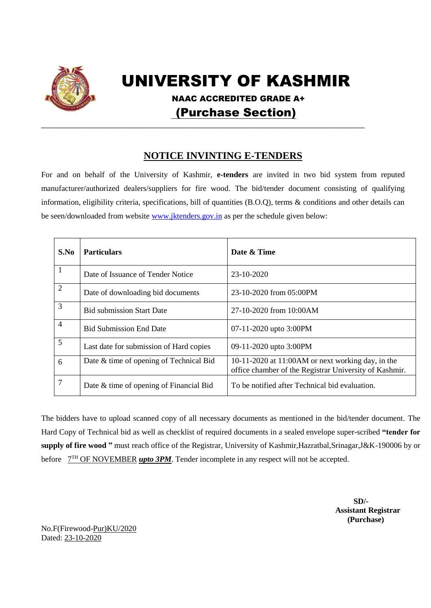

# UNIVERSITY OF KASHMIR

 NAAC ACCREDITED GRADE A+ (Purchase Section)

### **NOTICE INVINTING E-TENDERS**

\_\_\_\_\_\_\_\_\_\_\_\_\_\_\_\_\_\_\_\_\_\_\_\_\_\_\_\_\_\_\_\_\_\_\_\_\_\_\_\_\_\_\_\_\_\_\_\_\_\_\_\_\_\_\_\_\_\_\_\_\_\_\_\_\_\_\_\_\_\_\_\_\_\_\_\_\_\_\_\_\_\_\_\_\_\_\_\_\_\_

For and on behalf of the University of Kashmir, **e-tenders** are invited in two bid system from reputed manufacturer/authorized dealers/suppliers for fire wood. The bid/tender document consisting of qualifying information, eligibility criteria, specifications, bill of quantities (B.O.Q), terms & conditions and other details can be seen/downloaded from websit[e www.jktenders.gov.in](http://www.jktenders.gov.in/) as per the schedule given below:

| S.No           | <b>Particulars</b>                      | Date & Time                                                                                                 |
|----------------|-----------------------------------------|-------------------------------------------------------------------------------------------------------------|
| -1             | Date of Issuance of Tender Notice       | $23 - 10 - 2020$                                                                                            |
| $\overline{2}$ | Date of downloading bid documents       | 23-10-2020 from 05:00PM                                                                                     |
| 3              | <b>Bid submission Start Date</b>        | 27-10-2020 from 10:00AM                                                                                     |
| $\overline{4}$ | <b>Bid Submission End Date</b>          | 07-11-2020 upto 3:00PM                                                                                      |
| 5              | Last date for submission of Hard copies | 09-11-2020 upto 3:00PM                                                                                      |
| 6              | Date & time of opening of Technical Bid | 10-11-2020 at 11:00AM or next working day, in the<br>office chamber of the Registrar University of Kashmir. |
| $\overline{7}$ | Date & time of opening of Financial Bid | To be notified after Technical bid evaluation.                                                              |

The bidders have to upload scanned copy of all necessary documents as mentioned in the bid/tender document. The Hard Copy of Technical bid as well as checklist of required documents in a sealed envelope super-scribed **"tender for supply of fire wood "** must reach office of the Registrar, University of Kashmir,Hazratbal,Srinagar,J&K-190006 by or before  $7<sup>TH</sup>$  OF NOVEMBER *upto 3PM*. Tender incomplete in any respect will not be accepted.

**SD/- Assistant Registrar (Purchase)**

No.F(Firewood-Pur)KU/2020 Dated: 23-10-2020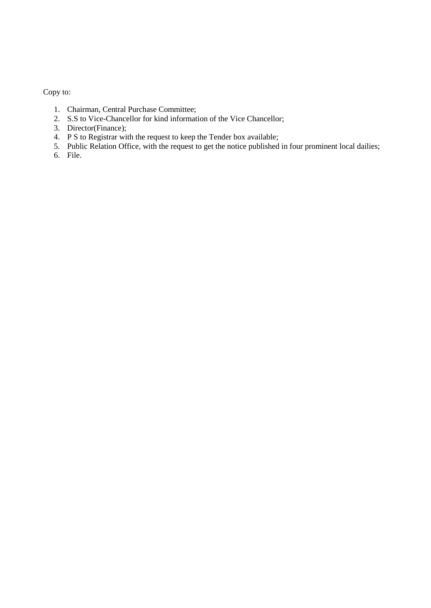Copy to:

- 1. Chairman, Central Purchase Committee;
- 2. S.S to Vice-Chancellor for kind information of the Vice Chancellor;
- 3. Director(Finance);
- 4. P S to Registrar with the request to keep the Tender box available;
- 5. Public Relation Office, with the request to get the notice published in four prominent local dailies;
- 6. File.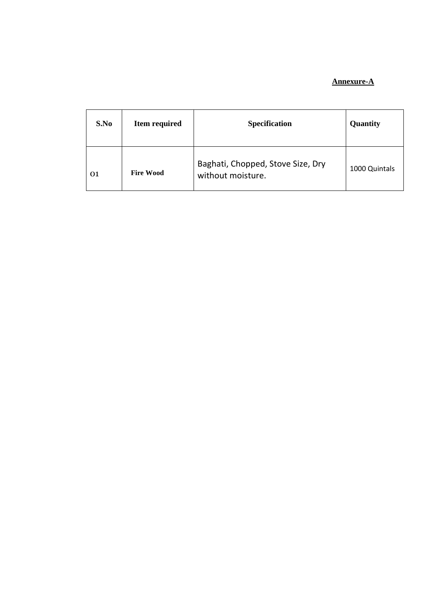#### **Annexure-A**

| S.No | Item required    | <b>Specification</b>                                   | Quantity      |
|------|------------------|--------------------------------------------------------|---------------|
| 01   | <b>Fire Wood</b> | Baghati, Chopped, Stove Size, Dry<br>without moisture. | 1000 Quintals |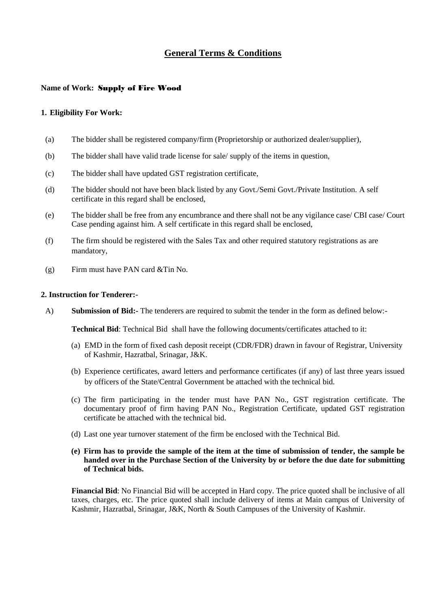### **General Terms & Conditions**

#### **Name of Work:** Supply of Fire Wood

#### **1. Eligibility For Work:**

- (a) The bidder shall be registered company/firm (Proprietorship or authorized dealer/supplier),
- (b) The bidder shall have valid trade license for sale/ supply of the items in question,
- (c) The bidder shall have updated GST registration certificate,
- (d) The bidder should not have been black listed by any Govt./Semi Govt./Private Institution. A self certificate in this regard shall be enclosed,
- (e) The bidder shall be free from any encumbrance and there shall not be any vigilance case/ CBI case/ Court Case pending against him. A self certificate in this regard shall be enclosed,
- (f) The firm should be registered with the Sales Tax and other required statutory registrations as are mandatory,
- (g) Firm must have PAN card &Tin No.

#### **2. Instruction for Tenderer:-**

A) **Submission of Bid:-** The tenderers are required to submit the tender in the form as defined below:-

**Technical Bid**: Technical Bid shall have the following documents/certificates attached to it:

- (a) EMD in the form of fixed cash deposit receipt (CDR/FDR) drawn in favour of Registrar, University of Kashmir, Hazratbal, Srinagar, J&K.
- (b) Experience certificates, award letters and performance certificates (if any) of last three years issued by officers of the State/Central Government be attached with the technical bid.
- (c) The firm participating in the tender must have PAN No., GST registration certificate. The documentary proof of firm having PAN No., Registration Certificate, updated GST registration certificate be attached with the technical bid.
- (d) Last one year turnover statement of the firm be enclosed with the Technical Bid.
- **(e) Firm has to provide the sample of the item at the time of submission of tender, the sample be handed over in the Purchase Section of the University by or before the due date for submitting of Technical bids.**

**Financial Bid**: No Financial Bid will be accepted in Hard copy. The price quoted shall be inclusive of all taxes, charges, etc. The price quoted shall include delivery of items at Main campus of University of Kashmir, Hazratbal, Srinagar, J&K, North & South Campuses of the University of Kashmir.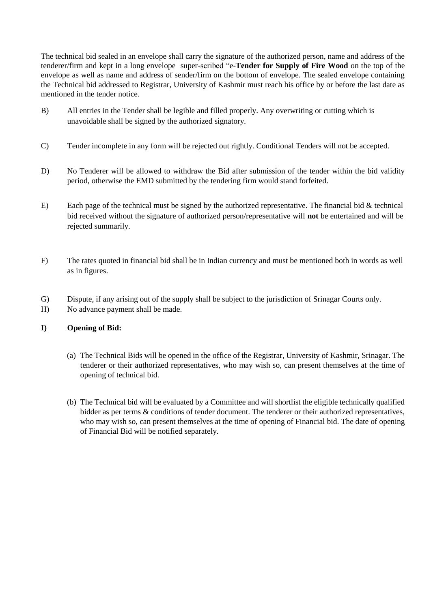The technical bid sealed in an envelope shall carry the signature of the authorized person, name and address of the tenderer/firm and kept in a long envelope super-scribed "e-**Tender for Supply of Fire Wood** on the top of the envelope as well as name and address of sender/firm on the bottom of envelope. The sealed envelope containing the Technical bid addressed to Registrar, University of Kashmir must reach his office by or before the last date as mentioned in the tender notice.

- B) All entries in the Tender shall be legible and filled properly. Any overwriting or cutting which is unavoidable shall be signed by the authorized signatory.
- C) Tender incomplete in any form will be rejected out rightly. Conditional Tenders will not be accepted.
- D) No Tenderer will be allowed to withdraw the Bid after submission of the tender within the bid validity period, otherwise the EMD submitted by the tendering firm would stand forfeited.
- E) Each page of the technical must be signed by the authorized representative. The financial bid  $&$  technical bid received without the signature of authorized person/representative will **not** be entertained and will be rejected summarily.
- F) The rates quoted in financial bid shall be in Indian currency and must be mentioned both in words as well as in figures.
- G) Dispute, if any arising out of the supply shall be subject to the jurisdiction of Srinagar Courts only.
- H) No advance payment shall be made.

#### **I) Opening of Bid:**

- (a) The Technical Bids will be opened in the office of the Registrar, University of Kashmir, Srinagar. The tenderer or their authorized representatives, who may wish so, can present themselves at the time of opening of technical bid.
- (b) The Technical bid will be evaluated by a Committee and will shortlist the eligible technically qualified bidder as per terms & conditions of tender document. The tenderer or their authorized representatives, who may wish so, can present themselves at the time of opening of Financial bid. The date of opening of Financial Bid will be notified separately.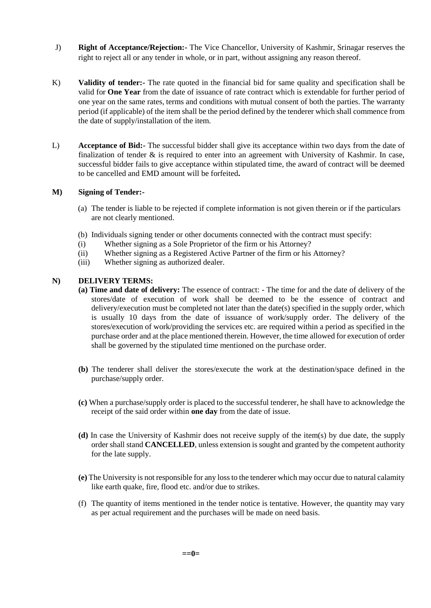- J) **Right of Acceptance/Rejection:-** The Vice Chancellor, University of Kashmir, Srinagar reserves the right to reject all or any tender in whole, or in part, without assigning any reason thereof.
- K) **Validity of tender:-** The rate quoted in the financial bid for same quality and specification shall be valid for **One Year** from the date of issuance of rate contract which is extendable for further period of one year on the same rates, terms and conditions with mutual consent of both the parties. The warranty period (if applicable) of the item shall be the period defined by the tenderer which shall commence from the date of supply/installation of the item.
- L) **Acceptance of Bid:-** The successful bidder shall give its acceptance within two days from the date of finalization of tender  $\&$  is required to enter into an agreement with University of Kashmir. In case, successful bidder fails to give acceptance within stipulated time, the award of contract will be deemed to be cancelled and EMD amount will be forfeited**.**

#### **M) Signing of Tender:-**

- (a) The tender is liable to be rejected if complete information is not given therein or if the particulars are not clearly mentioned.
- (b) Individuals signing tender or other documents connected with the contract must specify:
- (i) Whether signing as a Sole Proprietor of the firm or his Attorney?
- (ii) Whether signing as a Registered Active Partner of the firm or his Attorney?
- (iii) Whether signing as authorized dealer.

#### **N) DELIVERY TERMS:**

- **(a) Time and date of delivery:** The essence of contract: The time for and the date of delivery of the stores/date of execution of work shall be deemed to be the essence of contract and delivery/execution must be completed not later than the date(s) specified in the supply order, which is usually 10 days from the date of issuance of work/supply order. The delivery of the stores/execution of work/providing the services etc. are required within a period as specified in the purchase order and at the place mentioned therein. However, the time allowed for execution of order shall be governed by the stipulated time mentioned on the purchase order.
- **(b)** The tenderer shall deliver the stores/execute the work at the destination/space defined in the purchase/supply order.
- **(c)** When a purchase/supply order is placed to the successful tenderer, he shall have to acknowledge the receipt of the said order within **one day** from the date of issue.
- **(d)** In case the University of Kashmir does not receive supply of the item(s) by due date, the supply order shall stand **CANCELLED**, unless extension is sought and granted by the competent authority for the late supply.
- **(e)** The University is not responsible for any loss to the tenderer which may occur due to natural calamity like earth quake, fire, flood etc. and/or due to strikes.
- (f) The quantity of items mentioned in the tender notice is tentative. However, the quantity may vary as per actual requirement and the purchases will be made on need basis.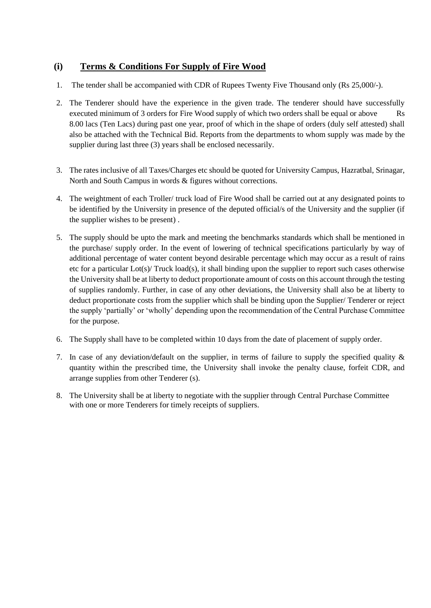### **(i) Terms & Conditions For Supply of Fire Wood**

- 1. The tender shall be accompanied with CDR of Rupees Twenty Five Thousand only (Rs 25,000/-).
- 2. The Tenderer should have the experience in the given trade. The tenderer should have successfully executed minimum of 3 orders for Fire Wood supply of which two orders shall be equal or above Rs 8.00 lacs (Ten Lacs) during past one year, proof of which in the shape of orders (duly self attested) shall also be attached with the Technical Bid. Reports from the departments to whom supply was made by the supplier during last three (3) years shall be enclosed necessarily.
- 3. The rates inclusive of all Taxes/Charges etc should be quoted for University Campus, Hazratbal, Srinagar, North and South Campus in words & figures without corrections.
- 4. The weightment of each Troller/ truck load of Fire Wood shall be carried out at any designated points to be identified by the University in presence of the deputed official/s of the University and the supplier (if the supplier wishes to be present) .
- 5. The supply should be upto the mark and meeting the benchmarks standards which shall be mentioned in the purchase/ supply order. In the event of lowering of technical specifications particularly by way of additional percentage of water content beyond desirable percentage which may occur as a result of rains etc for a particular Lot(s)/ Truck load(s), it shall binding upon the supplier to report such cases otherwise the University shall be at liberty to deduct proportionate amount of costs on this account through the testing of supplies randomly. Further, in case of any other deviations, the University shall also be at liberty to deduct proportionate costs from the supplier which shall be binding upon the Supplier/ Tenderer or reject the supply 'partially' or 'wholly' depending upon the recommendation of the Central Purchase Committee for the purpose.
- 6. The Supply shall have to be completed within 10 days from the date of placement of supply order.
- 7. In case of any deviation/default on the supplier, in terms of failure to supply the specified quality & quantity within the prescribed time, the University shall invoke the penalty clause, forfeit CDR, and arrange supplies from other Tenderer (s).
- 8. The University shall be at liberty to negotiate with the supplier through Central Purchase Committee with one or more Tenderers for timely receipts of suppliers.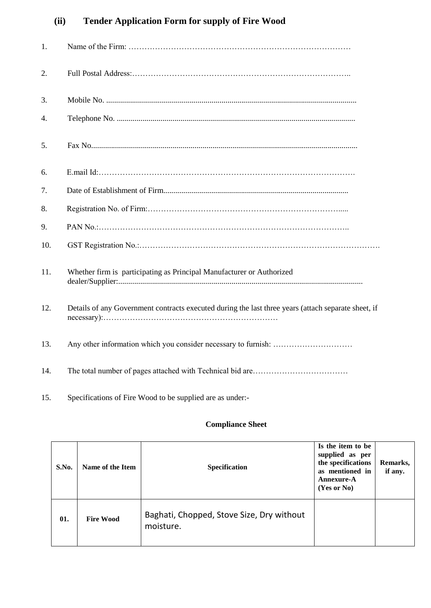# **(ii) Tender Application Form for supply of Fire Wood**

| 1.  |                                                                                                     |
|-----|-----------------------------------------------------------------------------------------------------|
| 2.  |                                                                                                     |
| 3.  |                                                                                                     |
| 4.  |                                                                                                     |
| 5.  |                                                                                                     |
| б.  |                                                                                                     |
| 7.  |                                                                                                     |
| 8.  |                                                                                                     |
| 9.  |                                                                                                     |
| 10. |                                                                                                     |
| 11. | Whether firm is participating as Principal Manufacturer or Authorized                               |
| 12. | Details of any Government contracts executed during the last three years (attach separate sheet, if |
| 13. |                                                                                                     |
| 14. |                                                                                                     |

15. Specifications of Fire Wood to be supplied are as under:-

### **Compliance Sheet**

| S.No. | Name of the Item | <b>Specification</b>                                   | Is the item to be<br>supplied as per<br>the specifications<br>as mentioned in<br><b>Annexure-A</b><br>$(Yes$ or $No)$ | Remarks,<br>if any. |
|-------|------------------|--------------------------------------------------------|-----------------------------------------------------------------------------------------------------------------------|---------------------|
| 01.   | <b>Fire Wood</b> | Baghati, Chopped, Stove Size, Dry without<br>moisture. |                                                                                                                       |                     |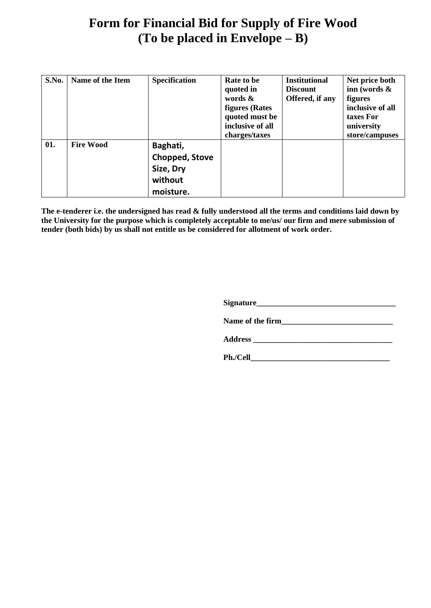# **Form for Financial Bid for Supply of Fire Wood (To be placed in Envelope – B)**

| S.No. | Name of the Item | <b>Specification</b>                                            | Rate to be<br>quoted in<br>words $\&$<br><b>figures</b> (Rates<br>quoted must be<br>inclusive of all<br>charges/taxes | <b>Institutional</b><br><b>Discount</b><br>Offered, if any | Net price both<br>inn (words $\&$<br><b>figures</b><br>inclusive of all<br>taxes For<br>university<br>store/campuses |
|-------|------------------|-----------------------------------------------------------------|-----------------------------------------------------------------------------------------------------------------------|------------------------------------------------------------|----------------------------------------------------------------------------------------------------------------------|
| 01.   | <b>Fire Wood</b> | Baghati,<br>Chopped, Stove<br>Size, Dry<br>without<br>moisture. |                                                                                                                       |                                                            |                                                                                                                      |

**The e-tenderer i.e. the undersigned has read & fully understood all the terms and conditions laid down by the University for the purpose which is completely acceptable to me/us/ our firm and mere submission of tender (both bids) by us shall not entitle us be considered for allotment of work order.**

**Signature\_\_\_\_\_\_\_\_\_\_\_\_\_\_\_\_\_\_\_\_\_\_\_\_\_\_\_\_\_\_\_\_\_\_\_**

**Name of the firm\_\_\_\_\_\_\_\_\_\_\_\_\_\_\_\_\_\_\_\_\_\_\_\_\_\_\_\_**

**Address \_\_\_\_\_\_\_\_\_\_\_\_\_\_\_\_\_\_\_\_\_\_\_\_\_\_\_\_\_\_\_\_\_\_\_**

**Ph./Cell\_\_\_\_\_\_\_\_\_\_\_\_\_\_\_\_\_\_\_\_\_\_\_\_\_\_\_\_\_\_\_\_\_\_\_**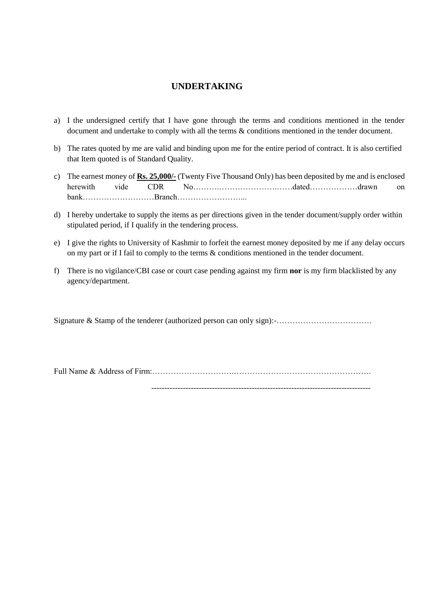### **UNDERTAKING**

- a) I the undersigned certify that I have gone through the terms and conditions mentioned in the tender document and undertake to comply with all the terms & conditions mentioned in the tender document.
- b) The rates quoted by me are valid and binding upon me for the entire period of contract. It is also certified that Item quoted is of Standard Quality.
- c) The earnest money of **Rs. 25,000/-** (Twenty Five Thousand Only) has been deposited by me and is enclosed herewith vide CDR No……………………………………………………………dated……………………drawn on bank………………………Branch……………………...
- d) I hereby undertake to supply the items as per directions given in the tender document/supply order within stipulated period, if I qualify in the tendering process.
- e) I give the rights to University of Kashmir to forfeit the earnest money deposited by me if any delay occurs on my part or if I fail to comply to the terms & conditions mentioned in the tender document.
- f) There is no vigilance/CBI case or court case pending against my firm **nor** is my firm blacklisted by any agency/department.

Signature & Stamp of the tenderer (authorized person can only sign):-………………………………

Full Name & Address of Firm:………………………….…………………………………………….

-----------------------------------------------------------------------------------